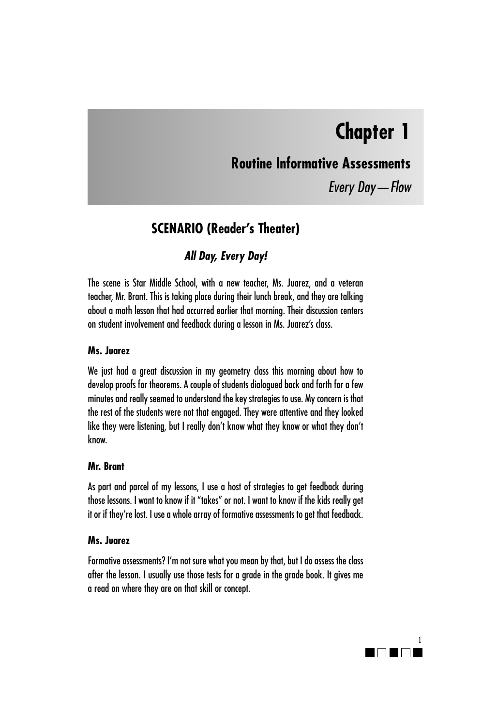# **Chapter 1**

## **Routine Informative Assessments**

*Every Day—Flow*

### **SCENARIO (Reader's Theater)**

#### *All Day, Every Day!*

The scene is Star Middle School, with a new teacher, Ms. Juarez, and a veteran teacher, Mr. Brant. This is taking place during their lunch break, and they are talking about a math lesson that had occurred earlier that morning. Their discussion centers on student involvement and feedback during a lesson in Ms. Juarez's class.

#### **Ms. Juarez**

We just had a great discussion in my geometry class this morning about how to develop proofs for theorems. A couple of students dialogued back and forth for a few minutes and really seemed to understand the key strategies to use. My concern is that the rest of the students were not that engaged. They were attentive and they looked like they were listening, but I really don't know what they know or what they don't know.

#### **Mr. Brant**

As part and parcel of my lessons, I use a host of strategies to get feedback during those lessons. I want to know if it "takes" or not. I want to know if the kids really get it or if they're lost. I use a whole array of formative assessments to get that feedback.

#### **Ms. Juarez**

Formative assessments? I'm not sure what you meanby that, but I do assess the class after the lesson. I usually use those tests for a grade in the grade book. It gives me a read on where they are on that skill or concept.

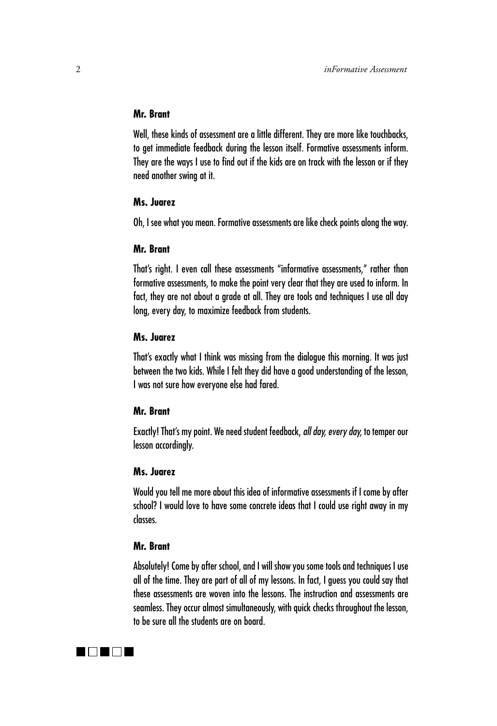#### **Mr. Brant**

Well, these kinds of assessment are a little different. They are more like touchbacks, to get immediate feedback during the lesson itself. Formative assessments inform. They are the ways I use to find out if the kids are on track with the lesson or if they need another swing at it.

#### **Ms. Juarez**

Oh, I see what you mean. Formative assessments are like check points along the way.

#### **Mr. Brant**

That's right. I even call these assessments "informative assessments," rather than formative assessments, to make the point very clear that they are used to inform. In fact, they are not about a grade at all. They are tools and techniques I use all day long, every day, to maximize feedback from students.

#### **Ms. Juarez**

That's exactly what I think was missing from the dialogue this morning. It was just between the two kids. While I felt they did have a good understanding of the lesson, I was not sure how everyone else had fared.

#### **Mr. Brant**

Exactly! That's my point. We need student feedback, all day, every day, to temper our lesson accordingly.

#### **Ms. Juarez**

Would you tell me more about this idea of informative assessments if I come by after school? I would love to have some concrete ideas that I could use right away in my classes.

#### **Mr. Brant**

Absolutely! Come by after school, and I will show you some tools and techniques I use all of the time. They are part of all of my lessons. In fact, I guess you could say that these assessments are woven into the lessons. The instruction and assessments are seamless. They occur almost simultaneously, with quick checks throughout the lesson, to be sure all the students are on board.

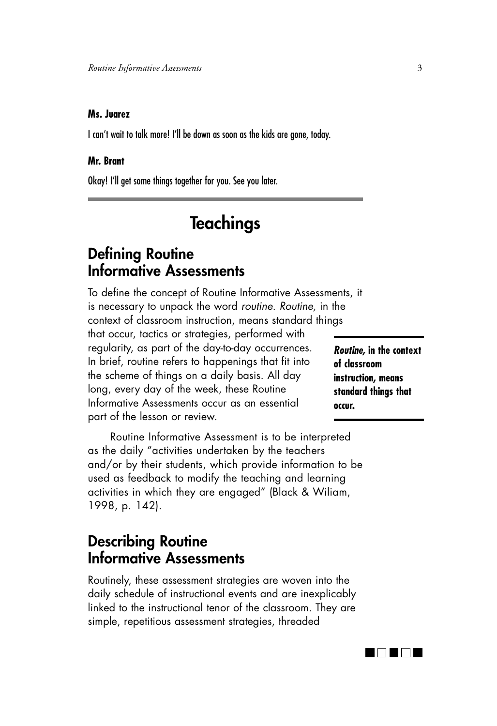#### **Ms. Juarez**

I can't wait to talk more! I'll be down as soon as the kids are gone, today.

#### **Mr. Brant**

Okay! I'll get some things together for you. See you later.

## **Teachings**

## **Defining Routine Informative Assessments**

To define the concept of Routine Informative Assessments, it is necessary to unpack the word *routine. Routine,* in the context of classroom instruction, means standard things that occur, tactics or strategies, performed with regularity, as part of the day-to-day occurrences. In brief, routine refers to happenings that fit into the scheme of things on a daily basis. All day long, every day of the week, these Routine Informative Assessments occur as an essential part of the lesson or review. **occur.**

Routine Informative Assessment is to be interpreted as the daily "activities undertaken by the teachers and/or by their students, which provide information to be used as feedback to modify the teaching and learning activities in which they are engaged" (Black & Wiliam, 1998, p. 142).

## **Describing Routine Informative Assessments**

Routinely, these assessment strategies are woven into the daily schedule of instructional events and are inexplicably linked to the instructional tenor of the classroom. They are simple, repetitious assessment strategies, threaded

*Routine,* **in the context of classroom instruction, means standard things that**

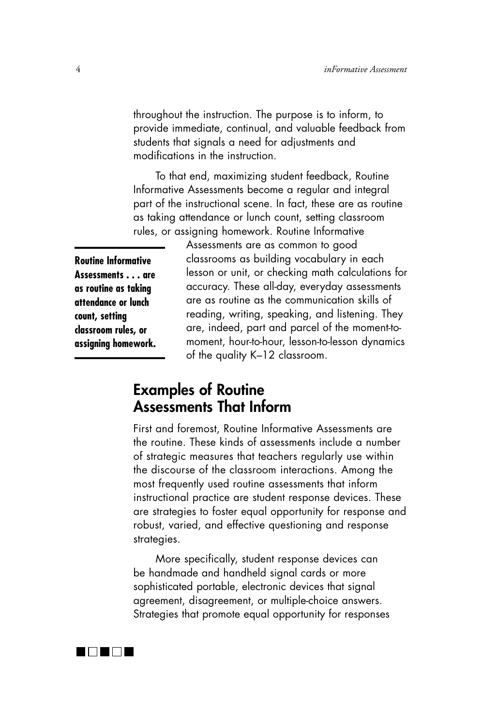throughout the instruction. The purpose is to inform, to provide immediate, continual, and valuable feedback from students that signals a need for adjustments and modifications in the instruction.

To that end, maximizing student feedback, Routine Informative Assessments become a regular and integral part of the instructional scene. In fact, these are as routine as taking attendance or lunch count, setting classroom rules, or assigning homework. Routine Informative

**Routine Informative Assessments . . . are as routine as taking attendance or lunch count, setting classroom rules, or assigning homework.** Assessments are as common to good classrooms as building vocabulary in each lesson or unit, or checking math calculations for accuracy. These all-day, everyday assessments are as routine as the communication skills of reading, writing, speaking, and listening. They are, indeed, part and parcel of the moment-tomoment, hour-to-hour, lesson-to-lesson dynamics of the quality K–12 classroom.

## **Examples of Routine Assessments That Inform**

First and foremost, Routine Informative Assessments are the routine. These kinds of assessments include a number of strategic measures that teachers regularly use within the discourse of the classroom interactions. Among the most frequently used routine assessments that inform instructional practice are student response devices. These are strategies to foster equal opportunity for response and robust, varied, and effective questioning and response strategies.

More specifically, student response devices can be handmade and handheld signal cards or more sophisticated portable, electronic devices that signal agreement, disagreement, or multiple-choice answers. Strategies that promote equal opportunity for responses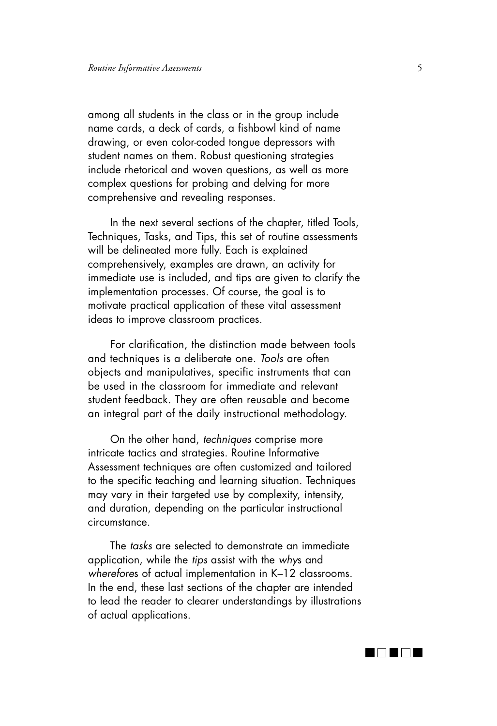among all students in the class or in the group include name cards, a deck of cards, a fishbowl kind of name drawing, or even color-coded tongue depressors with student names on them. Robust questioning strategies include rhetorical and woven questions, as well as more complex questions for probing and delving for more comprehensive and revealing responses.

In the next several sections of the chapter, titled Tools, Techniques, Tasks, and Tips, this set of routine assessments will be delineated more fully. Each is explained comprehensively, examples are drawn, an activity for immediate use is included, and tips are given to clarify the implementation processes. Of course, the goal is to motivate practical application of these vital assessment ideas to improve classroom practices.

For clarification, the distinction made between tools and techniques is a deliberate one. *Tools* are often objects and manipulatives, specific instruments that can be used in the classroom for immediate and relevant student feedback. They are often reusable and become an integral part of the daily instructional methodology.

On the other hand, *techniques* comprise more intricate tactics and strategies. Routine Informative Assessment techniques are often customized and tailored to the specific teaching and learning situation. Techniques may vary in their targeted use by complexity, intensity, and duration, depending on the particular instructional circumstance.

The *tasks* are selected to demonstrate an immediate application, while the *tips* assist with the *why*s and *wherefore*s of actual implementation in K–12 classrooms. In the end, these last sections of the chapter are intended to lead the reader to clearer understandings by illustrations of actual applications.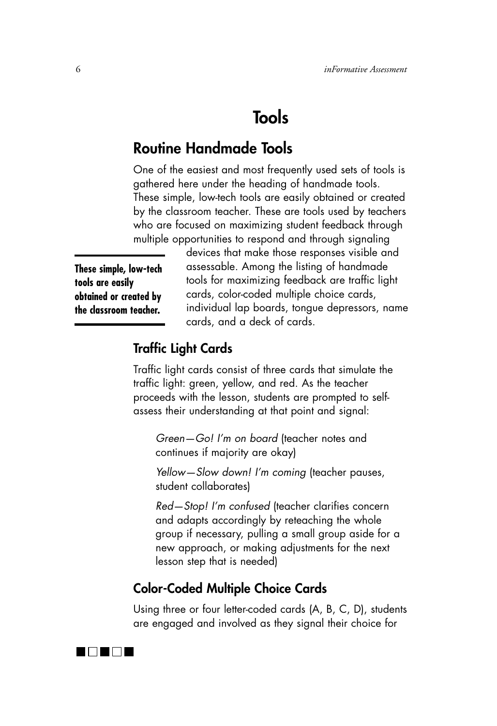## **Tools**

## **Routine Handmade Tools**

One of the easiest and most frequently used sets of tools is gathered here under the heading of handmade tools. These simple, low-tech tools are easily obtained or created by the classroom teacher. These are tools used by teachers who are focused on maximizing student feedback through multiple opportunities to respond and through signaling

**These simple, low-tech tools are easily obtained or created by the classroom teacher.**

devices that make those responses visible and assessable. Among the listing of handmade tools for maximizing feedback are traffic light cards, color-coded multiple choice cards, individual lap boards, tongue depressors, name cards, and a deck of cards.

### **Traffic Light Cards**

Traffic light cards consist of three cards that simulate the traffic light: green, yellow, and red. As the teacher proceeds with the lesson, students are prompted to selfassess their understanding at that point and signal:

*Green—Go! I'm on board* (teacher notes and continues if majority are okay)

*Yellow—Slow down! I'm coming* (teacher pauses, student collaborates)

*Red—Stop! I'm confused* (teacher clarifies concern and adapts accordingly by reteaching the whole group if necessary, pulling a small group aside for a new approach, or making adjustments for the next lesson step that is needed)

#### **Color-Coded Multiple Choice Cards**

Using three or four letter-coded cards (A, B, C, D), students are engaged and involved as they signal their choice for

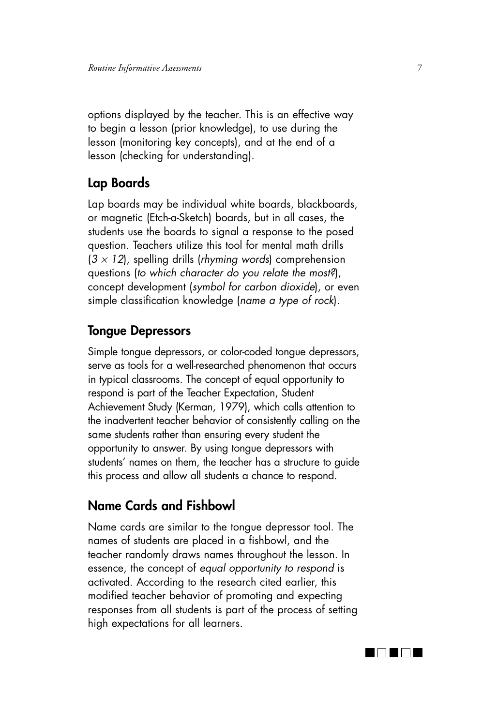options displayed by the teacher. This is an effective way to begin a lesson (prior knowledge), to use during the lesson (monitoring key concepts), and at the end of a lesson (checking for understanding).

### **Lap Boards**

Lap boards may be individual white boards, blackboards, or magnetic (Etch-a-Sketch) boards, but in all cases, the students use the boards to signal a response to the posed question. Teachers utilize this tool for mental math drills (*3* <sup>×</sup> *12*), spelling drills (*rhyming words*) comprehension questions (*to which character do you relate the most?*), concept development (*symbol for carbon dioxide*), or even simple classification knowledge (*name a type of rock*).

#### **Tongue Depressors**

Simple tongue depressors, or color-coded tongue depressors, serve as tools for a well-researched phenomenon that occurs in typical classrooms. The concept of equal opportunity to respond is part of the Teacher Expectation, Student Achievement Study (Kerman, 1979), which calls attention to the inadvertent teacher behavior of consistently calling on the same students rather than ensuring every student the opportunity to answer. By using tongue depressors with students' names on them, the teacher has a structure to guide this process and allow all students a chance to respond.

#### **Name Cards and Fishbowl**

Name cards are similar to the tongue depressor tool. The names of students are placed in a fishbowl, and the teacher randomly draws names throughout the lesson. In essence, the concept of *equal opportunity to respond* is activated. According to the research cited earlier, this modified teacher behavior of promoting and expecting responses from all students is part of the process of setting high expectations for all learners.

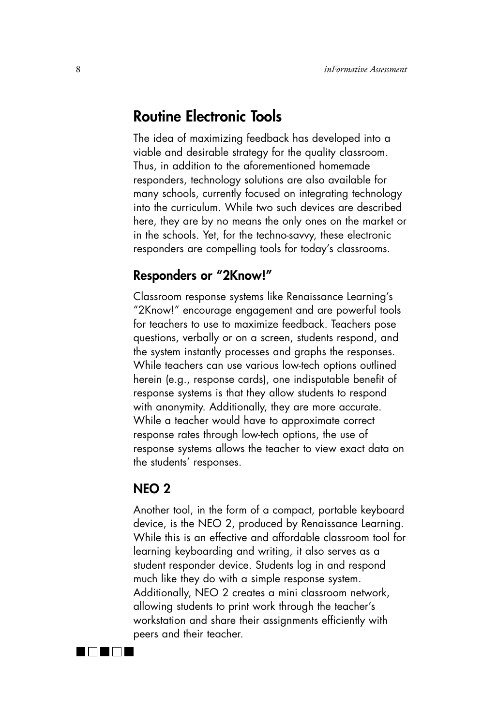## **Routine Electronic Tools**

The idea of maximizing feedback has developed into a viable and desirable strategy for the quality classroom. Thus, in addition to the aforementioned homemade responders, technology solutions are also available for many schools, currently focused on integrating technology into the curriculum. While two such devices are described here, they are by no means the only ones on the market or in the schools. Yet, for the techno-savvy, these electronic responders are compelling tools for today's classrooms.

### **Responders or "2Know!"**

Classroom response systems like Renaissance Learning's "2Know!" encourage engagement and are powerful tools for teachers to use to maximize feedback. Teachers pose questions, verbally or on a screen, students respond, and the system instantly processes and graphs the responses. While teachers can use various low-tech options outlined herein (e.g., response cards), one indisputable benefit of response systems is that they allow students to respond with anonymity. Additionally, they are more accurate. While a teacher would have to approximate correct response rates through low-tech options, the use of response systems allows the teacher to view exact data on the students' responses.

#### **NEO 2**

Another tool, in the form of a compact, portable keyboard device, is the NEO 2, produced by Renaissance Learning. While this is an effective and affordable classroom tool for learning keyboarding and writing, it also serves as a student responder device. Students log in and respond much like they do with a simple response system. Additionally, NEO 2 creates a mini classroom network, allowing students to print work through the teacher's workstation and share their assignments efficiently with peers and their teacher.

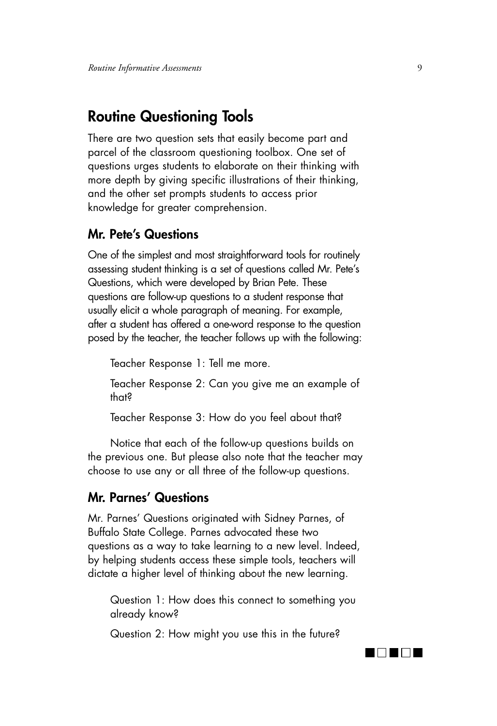## **Routine Questioning Tools**

There are two question sets that easily become part and parcel of the classroom questioning toolbox. One set of questions urges students to elaborate on their thinking with more depth by giving specific illustrations of their thinking, and the other set prompts students to access prior knowledge for greater comprehension.

#### **Mr. Pete's Questions**

One of the simplest and most straightforward tools for routinely assessing student thinking is a set of questions called Mr. Pete's Questions, which were developed by Brian Pete. These questions are follow-up questions to a student response that usually elicit a whole paragraph of meaning. For example, after a student has offered a one-word response to the question posed by the teacher, the teacher follows up with the following:

Teacher Response 1: Tell me more.

Teacher Response 2: Can you give me an example of that?

Teacher Response 3: How do you feel about that?

Notice that each of the follow-up questions builds on the previous one. But please also note that the teacher may choose to use any or all three of the follow-up questions.

#### **Mr. Parnes' Questions**

Mr. Parnes' Questions originated with Sidney Parnes, of Buffalo State College. Parnes advocated these two questions as a way to take learning to a new level. Indeed, by helping students access these simple tools, teachers will dictate a higher level of thinking about the new learning.

Question 1: How does this connect to something you already know?

Question 2: How might you use this in the future?

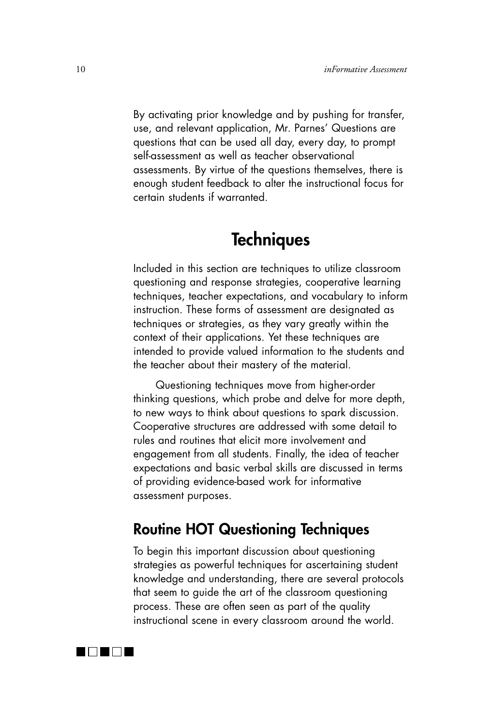By activating prior knowledge and by pushing for transfer, use, and relevant application, Mr. Parnes' Questions are questions that can be used all day, every day, to prompt self-assessment as well as teacher observational assessments. By virtue of the questions themselves, there is enough student feedback to alter the instructional focus for certain students if warranted.

## **Techniques**

Included in this section are techniques to utilize classroom questioning and response strategies, cooperative learning techniques, teacher expectations, and vocabulary to inform instruction. These forms of assessment are designated as techniques or strategies, as they vary greatly within the context of their applications. Yet these techniques are intended to provide valued information to the students and the teacher about their mastery of the material.

Questioning techniques move from higher-order thinking questions, which probe and delve for more depth, to new ways to think about questions to spark discussion. Cooperative structures are addressed with some detail to rules and routines that elicit more involvement and engagement from all students. Finally, the idea of teacher expectations and basic verbal skills are discussed in terms of providing evidence-based work for informative assessment purposes.

### **Routine HOT Questioning Techniques**

To begin this important discussion about questioning strategies as powerful techniques for ascertaining student knowledge and understanding, there are several protocols that seem to guide the art of the classroom questioning process. These are often seen as part of the quality instructional scene in every classroom around the world.

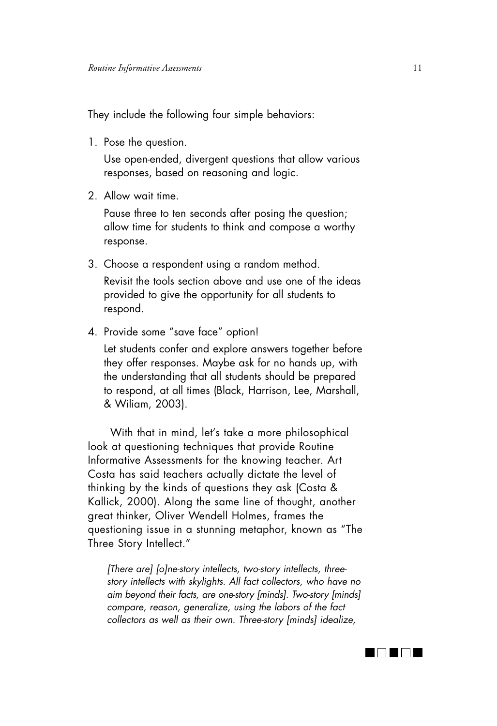They include the following four simple behaviors:

1. Pose the question.

Use open-ended, divergent questions that allow various responses, based on reasoning and logic.

2. Allow wait time.

Pause three to ten seconds after posing the question; allow time for students to think and compose a worthy response.

3. Choose a respondent using a random method.

Revisit the tools section above and use one of the ideas provided to give the opportunity for all students to respond.

4. Provide some "save face" option!

Let students confer and explore answers together before they offer responses. Maybe ask for no hands up, with the understanding that all students should be prepared to respond, at all times (Black, Harrison, Lee, Marshall, & Wiliam, 2003).

With that in mind, let's take a more philosophical look at questioning techniques that provide Routine Informative Assessments for the knowing teacher. Art Costa has said teachers actually dictate the level of thinking by the kinds of questions they ask (Costa & Kallick, 2000). Along the same line of thought, another great thinker, Oliver Wendell Holmes, frames the questioning issue in a stunning metaphor, known as "The Three Story Intellect."

*[There are] [o]ne-story intellects, two-story intellects, threestory intellects with skylights. All fact collectors, who have no aim beyond their facts, are one-story [minds]. Two-story [minds] compare, reason, generalize, using the labors of the fact collectors as well as their own. Three-story [minds] idealize,*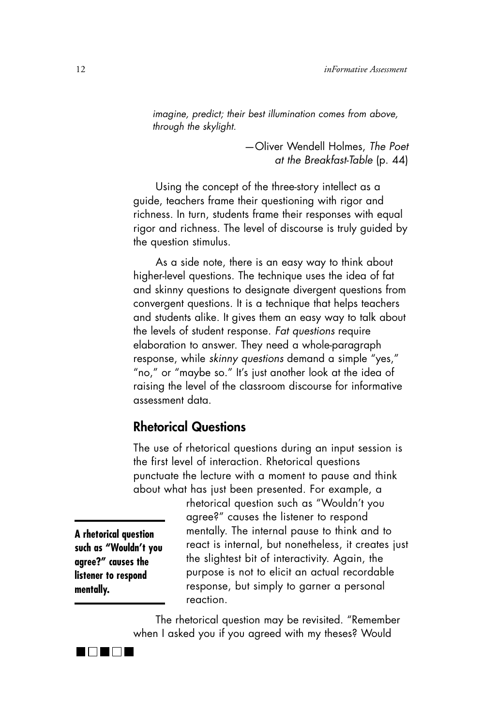*imagine, predict; their best illumination comes from above, through the skylight.*

> —Oliver Wendell Holmes, *The Poet at the Breakfast-Table* (p. 44)

Using the concept of the three-story intellect as a guide, teachers frame their questioning with rigor and richness. In turn, students frame their responses with equal rigor and richness. The level of discourse is truly guided by the question stimulus.

As a side note, there is an easy way to think about higher-level questions. The technique uses the idea of fat and skinny questions to designate divergent questions from convergent questions. It is a technique that helps teachers and students alike. It gives them an easy way to talk about the levels of student response. *Fat questions* require elaboration to answer. They need a whole-paragraph response, while *skinny questions* demand a simple "yes," "no," or "maybe so." It's just another look at the idea of raising the level of the classroom discourse for informative assessment data.

#### **Rhetorical Questions**

The use of rhetorical questions during an input session is the first level of interaction. Rhetorical questions punctuate the lecture with a moment to pause and think about what has just been presented. For example, a

> rhetorical question such as "Wouldn't you agree?" causes the listener to respond mentally. The internal pause to think and to react is internal, but nonetheless, it creates just the slightest bit of interactivity. Again, the purpose is not to elicit an actual recordable response, but simply to garner a personal reaction.

The rhetorical question may be revisited. "Remember when I asked you if you agreed with my theses? Would



**A rhetorical question such as "Wouldn't you**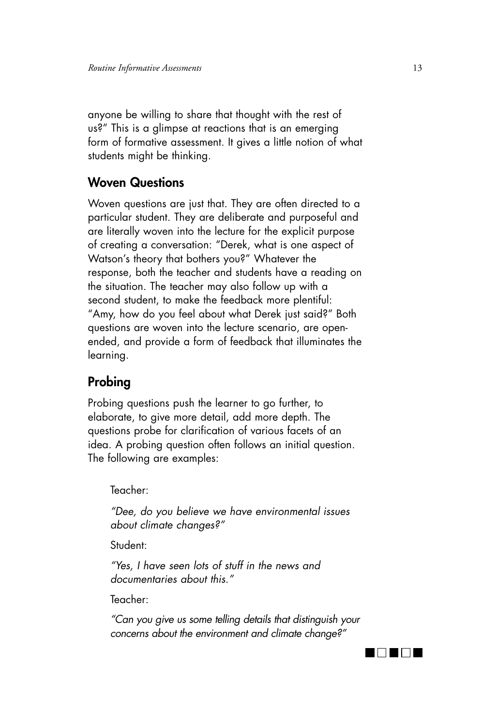anyone be willing to share that thought with the rest of us?" This is a glimpse at reactions that is an emerging form of formative assessment. It gives a little notion of what students might be thinking.

### **Woven Questions**

Woven questions are just that. They are often directed to a particular student. They are deliberate and purposeful and are literally woven into the lecture for the explicit purpose of creating a conversation: "Derek, what is one aspect of Watson's theory that bothers you?" Whatever the response, both the teacher and students have a reading on the situation. The teacher may also follow up with a second student, to make the feedback more plentiful: "Amy, how do you feel about what Derek just said?" Both questions are woven into the lecture scenario, are openended, and provide a form of feedback that illuminates the learning.

### **Probing**

Probing questions push the learner to go further, to elaborate, to give more detail, add more depth. The questions probe for clarification of various facets of an idea. A probing question often follows an initial question. The following are examples:

Teacher:

*"Dee, do you believe we have environmental issues about climate changes?"*

Student:

*"Yes, I have seen lots of stuff in the news and documentaries about this."*

Teacher:

*"Can you give us some telling details that distinguish your concerns about the environment and climate change?"*

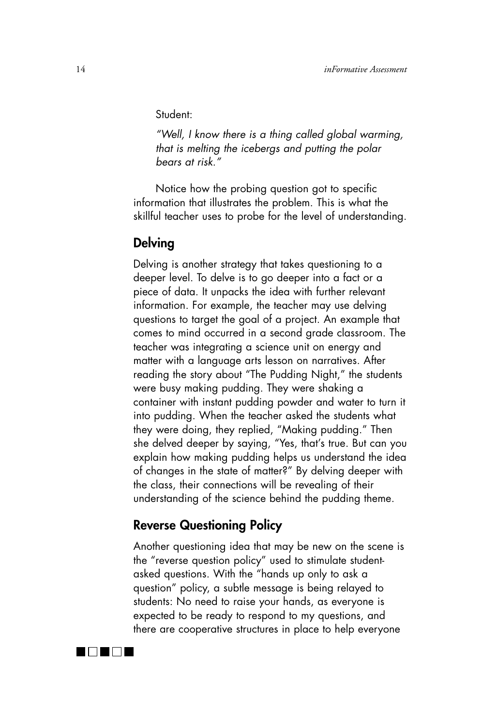Student:

*"Well, I know there is a thing called global warming, that is melting the icebergs and putting the polar bears at risk."*

Notice how the probing question got to specific information that illustrates the problem. This is what the skillful teacher uses to probe for the level of understanding.

#### **Delving**

Delving is another strategy that takes questioning to a deeper level. To delve is to go deeper into a fact or a piece of data. It unpacks the idea with further relevant information. For example, the teacher may use delving questions to target the goal of a project. An example that comes to mind occurred in a second grade classroom. The teacher was integrating a science unit on energy and matter with a language arts lesson on narratives. After reading the story about "The Pudding Night," the students were busy making pudding. They were shaking a container with instant pudding powder and water to turn it into pudding. When the teacher asked the students what they were doing, they replied, "Making pudding." Then she delved deeper by saying, "Yes, that's true. But can you explain how making pudding helps us understand the idea of changes in the state of matter?" By delving deeper with the class, their connections will be revealing of their understanding of the science behind the pudding theme.

#### **Reverse Questioning Policy**

Another questioning idea that may be new on the scene is the "reverse question policy" used to stimulate studentasked questions. With the "hands up only to ask a question" policy, a subtle message is being relayed to students: No need to raise your hands, as everyone is expected to be ready to respond to my questions, and there are cooperative structures in place to help everyone

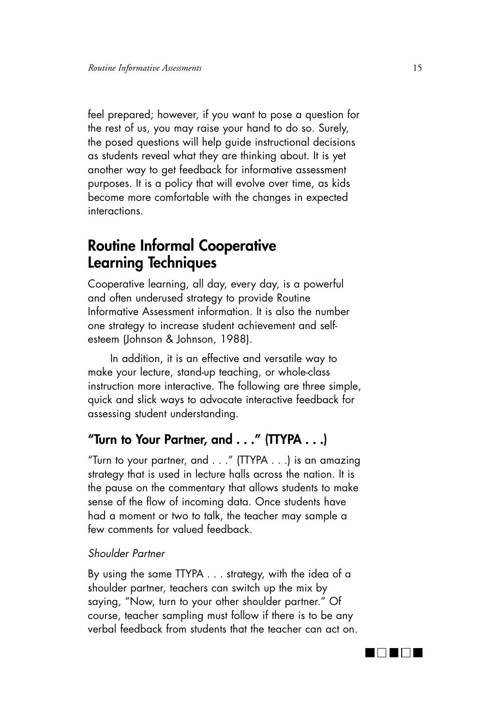feel prepared; however, if you want to pose a question for the rest of us, you may raise your hand to do so. Surely, the posed questions will help guide instructional decisions as students reveal what they are thinking about. It is yet another way to get feedback for informative assessment purposes. It is a policy that will evolve over time, as kids become more comfortable with the changes in expected interactions.

## **Routine Informal Cooperative Learning Techniques**

Cooperative learning, all day, every day, is a powerful and often underused strategy to provide Routine Informative Assessment information. It is also the number one strategy to increase student achievement and selfesteem (Johnson & Johnson, 1988).

In addition, it is an effective and versatile way to make your lecture, stand-up teaching, or whole-class instruction more interactive. The following are three simple, quick and slick ways to advocate interactive feedback for assessing student understanding.

### **"Turn to Your Partner, and . . ." (TTYPA . . .)**

"Turn to your partner, and . . ." (TTYPA . . .) is an amazing strategy that is used in lecture halls across the nation. It is the pause on the commentary that allows students to make sense of the flow of incoming data. Once students have had a moment or two to talk, the teacher may sample a few comments for valued feedback.

#### *Shoulder Partner*

By using the same TTYPA ... strategy, with the idea of a shoulder partner, teachers can switch up the mix by saying, "Now, turn to your other shoulder partner." Of course, teacher sampling must follow if there is to be any verbal feedback from students that the teacher can act on.

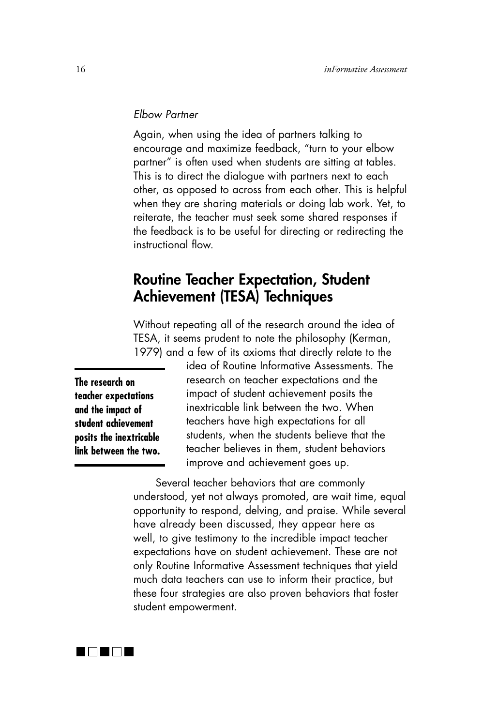#### *Elbow Partner*

Again, when using the idea of partners talking to encourage and maximize feedback, "turn to your elbow partner" is often used when students are sitting at tables. This is to direct the dialogue with partners next to each other, as opposed to across from each other. This is helpful when they are sharing materials or doing lab work. Yet, to reiterate, the teacher must seek some shared responses if the feedback is to be useful for directing or redirecting the instructional flow.

## **Routine Teacher Expectation, Student Achievement (TESA) Techniques**

Without repeating all of the research around the idea of TESA, it seems prudent to note the philosophy (Kerman, 1979) and a few of its axioms that directly relate to the

**The research on teacher expectations and the impact of student achievement posits the inextricable link between the two.**

idea of Routine Informative Assessments. The research on teacher expectations and the impact of student achievement posits the inextricable link between the two. When teachers have high expectations for all students, when the students believe that the teacher believes in them, student behaviors improve and achievement goes up.

Several teacher behaviors that are commonly understood, yet not always promoted, are wait time, equal opportunity to respond, delving, and praise. While several have already been discussed, they appear here as well, to give testimony to the incredible impact teacher expectations have on student achievement. These are not only Routine Informative Assessment techniques that yield much data teachers can use to inform their practice, but these four strategies are also proven behaviors that foster student empowerment.

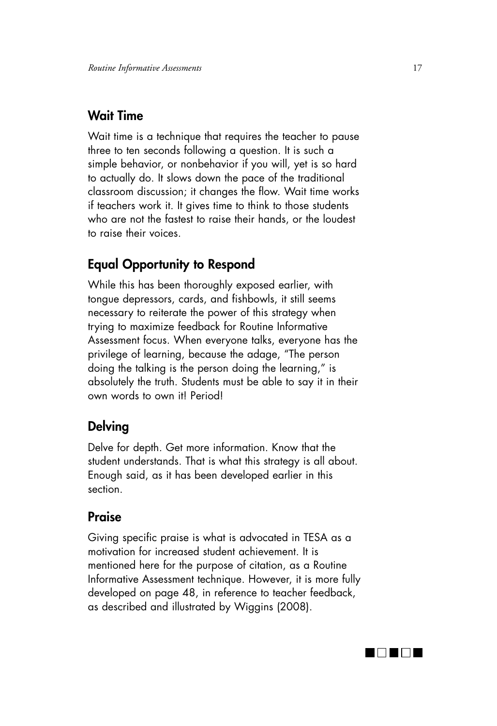### **Wait Time**

Wait time is a technique that requires the teacher to pause three to ten seconds following a question. It is such a simple behavior, or nonbehavior if you will, yet is so hard to actually do. It slows down the pace of the traditional classroom discussion; it changes the flow. Wait time works if teachers work it. It gives time to think to those students who are not the fastest to raise their hands, or the loudest to raise their voices.

### **Equal Opportunity to Respond**

While this has been thoroughly exposed earlier, with tongue depressors, cards, and fishbowls, it still seems necessary to reiterate the power of this strategy when trying to maximize feedback for Routine Informative Assessment focus. When everyone talks, everyone has the privilege of learning, because the adage, "The person doing the talking is the person doing the learning," is absolutely the truth. Students must be able to say it in their own words to own it! Period!

### **Delving**

Delve for depth. Get more information. Know that the student understands. That is what this strategy is all about. Enough said, as it has been developed earlier in this section.

#### **Praise**

Giving specific praise is what is advocated in TESA as a motivation for increased student achievement. It is mentioned here for the purpose of citation, as a Routine Informative Assessment technique. However, it is more fully developed on page 48, in reference to teacher feedback, as described and illustrated by Wiggins (2008).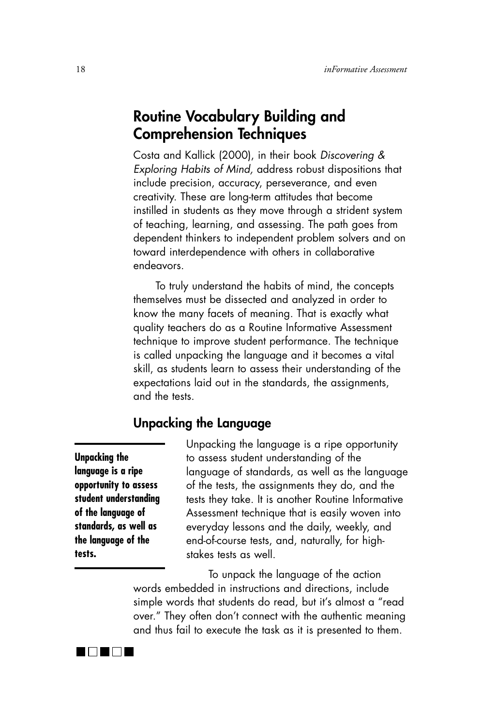## **Routine Vocabulary Building and Comprehension Techniques**

Costa and Kallick (2000), in their book *Discovering & Exploring Habits of Mind,* address robust dispositions that include precision, accuracy, perseverance, and even creativity. These are long-term attitudes that become instilled in students as they move through a strident system of teaching, learning, and assessing. The path goes from dependent thinkers to independent problem solvers and on toward interdependence with others in collaborative endeavors.

To truly understand the habits of mind, the concepts themselves must be dissected and analyzed in order to know the many facets of meaning. That is exactly what quality teachers do as a Routine Informative Assessment technique to improve student performance. The technique is called unpacking the language and it becomes a vital skill, as students learn to assess their understanding of the expectations laid out in the standards, the assignments, and the tests.

### **Unpacking the Language**

**Unpacking the language is a ripe opportunity to assess student understanding of the language of standards, as well as the language of the tests.**

Unpacking the language is a ripe opportunity to assess student understanding of the language of standards, as well as the language of the tests, the assignments they do, and the tests they take. It is another Routine Informative Assessment technique that is easily woven into everyday lessons and the daily, weekly, and end-of-course tests, and, naturally, for highstakes tests as well.

To unpack the language of the action words embedded in instructions and directions, include simple words that students do read, but it's almost a "read over." They often don't connect with the authentic meaning and thus fail to execute the task as it is presented to them.

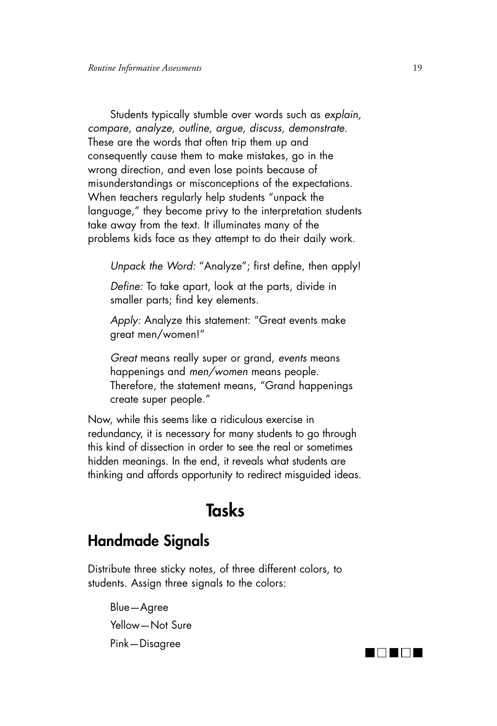Students typically stumble over words such as *explain, compare, analyze, outline, argue, discuss, demonstrate.* These are the words that often trip them up and consequently cause them to make mistakes, go in the wrong direction, and even lose points because of misunderstandings or misconceptions of the expectations. When teachers regularly help students "unpack the language," they become privy to the interpretation students take away from the text. It illuminates many of the problems kids face as they attempt to do their daily work.

*Unpack the Word:* "Analyze"; first define, then apply!

*Define:* To take apart, look at the parts, divide in smaller parts; find key elements.

*Apply:* Analyze this statement: "Great events make great men/women!"

*Great* means really super or grand, *events* means happenings and *men/women* means people. Therefore, the statement means, "Grand happenings create super people."

Now, while this seems like a ridiculous exercise in redundancy, it is necessary for many students to go through this kind of dissection in order to see the real or sometimes hidden meanings. In the end, it reveals what students are thinking and affords opportunity to redirect misguided ideas.

## **Tasks**

## **Handmade Signals**

Distribute three sticky notes, of three different colors, to students. Assign three signals to the colors:

Blue—Agree Yellow—Not Sure Pink—Disagree